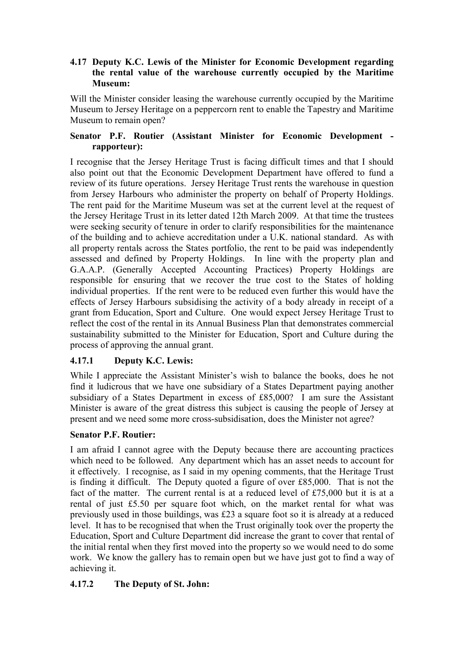## **4.17 Deputy K.C. Lewis of the Minister for Economic Development regarding the rental value of the warehouse currently occupied by the Maritime Museum:**

Will the Minister consider leasing the warehouse currently occupied by the Maritime Museum to Jersey Heritage on a peppercorn rent to enable the Tapestry and Maritime Museum to remain open?

## **Senator P.F. Routier (Assistant Minister for Economic Development rapporteur):**

I recognise that the Jersey Heritage Trust is facing difficult times and that I should also point out that the Economic Development Department have offered to fund a review of its future operations. Jersey Heritage Trust rents the warehouse in question from Jersey Harbours who administer the property on behalf of Property Holdings. The rent paid for the Maritime Museum was set at the current level at the request of the Jersey Heritage Trust in its letter dated 12th March 2009. At that time the trustees were seeking security of tenure in order to clarify responsibilities for the maintenance of the building and to achieve accreditation under a U.K. national standard. As with all property rentals across the States portfolio, the rent to be paid was independently assessed and defined by Property Holdings. In line with the property plan and G.A.A.P. (Generally Accepted Accounting Practices) Property Holdings are responsible for ensuring that we recover the true cost to the States of holding individual properties. If the rent were to be reduced even further this would have the effects of Jersey Harbours subsidising the activity of a body already in receipt of a grant from Education, Sport and Culture. One would expect Jersey Heritage Trust to reflect the cost of the rental in its Annual Business Plan that demonstrates commercial sustainability submitted to the Minister for Education, Sport and Culture during the process of approving the annual grant.

# **4.17.1 Deputy K.C. Lewis:**

While I appreciate the Assistant Minister's wish to balance the books, does he not find it ludicrous that we have one subsidiary of a States Department paying another subsidiary of a States Department in excess of £85,000? I am sure the Assistant Minister is aware of the great distress this subject is causing the people of Jersey at present and we need some more cross-subsidisation, does the Minister not agree?

## **Senator P.F. Routier:**

I am afraid I cannot agree with the Deputy because there are accounting practices which need to be followed. Any department which has an asset needs to account for it effectively. I recognise, as I said in my opening comments, that the Heritage Trust is finding it difficult. The Deputy quoted a figure of over £85,000. That is not the fact of the matter. The current rental is at a reduced level of £75,000 but it is at a rental of just £5.50 per square foot which, on the market rental for what was previously used in those buildings, was £23 a square foot so it is already at a reduced level. It has to be recognised that when the Trust originally took over the property the Education, Sport and Culture Department did increase the grant to cover that rental of the initial rental when they first moved into the property so we would need to do some work. We know the gallery has to remain open but we have just got to find a way of achieving it.

# **4.17.2 The Deputy of St. John:**